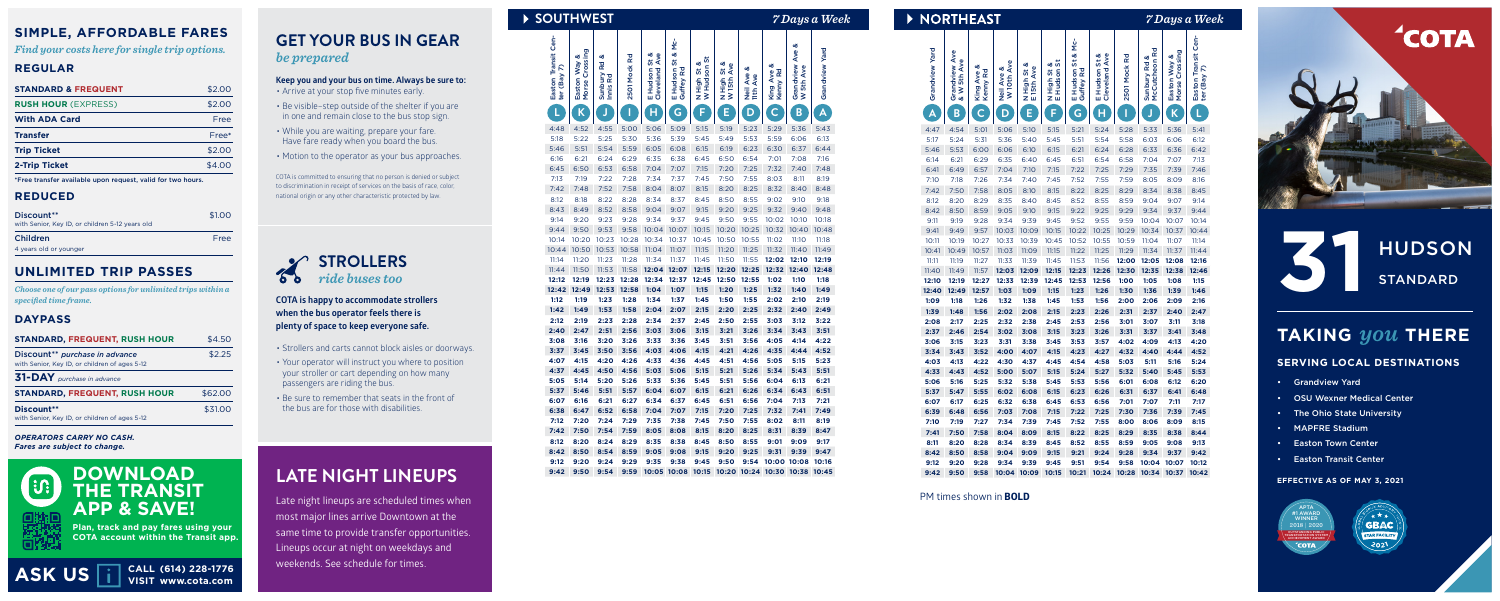| Grandview Yard | Grandview Ave<br><b>Sth Ave</b><br>$\frac{8}{3}$ | King Ave &<br>Kenny Rd | W 10th Ave<br>Neil Ave & | N High St &<br>E 15th Ave | ້ທີ່<br>య<br>Hudson<br>N High St<br>E Hudson | E Hudson St & Mc-<br>Guffey Rd | Cleveland Ave<br>E Hudson St & | 2501 Mock Rd | McCutcheon Rd<br>య<br>Sunbury Rd | Morse Crossing<br>Easton Way & | Easton Transit Cen-<br>ter (Bay 7) |
|----------------|--------------------------------------------------|------------------------|--------------------------|---------------------------|----------------------------------------------|--------------------------------|--------------------------------|--------------|----------------------------------|--------------------------------|------------------------------------|
| A              | В                                                | C                      | D                        | E                         | F                                            | $\overline{\mathsf{G}}$        | Н                              | Ī            |                                  | K                              | Ĺ                                  |
| 4:47           | 4:54                                             | 5:01                   | 5:06                     | 5:10                      | 5:15                                         | 5:21                           | 5:24                           | 5:28         | 5:33                             | 5:36                           | 5:41                               |
| 5:17           | 5:24                                             | 5:31                   | 5:36                     | 5:40                      | 5:45                                         | 5:51                           | 5:54                           | 5:58         | 6:03                             | 6:06                           | 6:12                               |
| 5:46           | 5:53                                             | 6:00                   | 6:06                     | 6:10                      | 6:15                                         | 6:21                           | 6:24                           | 6:28         | 6:33                             | 6:36                           | 6:42                               |
| 6:14           | 6:21                                             | 6:29                   | 6:35                     | 6:40                      | 6:45                                         | 6:51                           | 6:54                           | 6:58         | 7:04                             | 7:07                           | 7:13                               |
| 6:41           | 6:49                                             | 6:57                   | 7:04                     | 7:10                      | 7:15                                         | 7:22                           | 7:25                           | 7:29         | 7:35                             | 7:39                           | 7:46                               |
| 7:10           | 7:18                                             | 7:26                   | 7:34                     | 7:40                      | 7:45                                         | 7:52                           | 7:55                           | 7:59         | 8:05                             | 8:09                           | 8:16                               |
| 7:42           | 7:50                                             | 7:58                   | 8:05                     | 8:10                      | 8:15                                         | 8:22                           | 8:25                           | 8:29         | 8:34                             | 8:38                           | 8:45                               |
| 8:12           | 8:20                                             | 8:29                   | 8:35                     | 8:40                      | 8:45                                         | 8:52                           | 8:55                           | 8:59         | 9:04                             | 9:07                           | 9:14                               |
| 8:42           | 8:50                                             | 8:59                   | 9:05                     | 9:10                      | 9:15                                         | 9:22                           | 9:25                           | 9:29         | 9:34                             | 9:37                           | 9:44                               |
| 9:11           | 9:19                                             | 9:28                   | 9:34                     | 9:39                      | 9:45                                         | 9:52                           | 9:55                           | 9:59         | 10:04                            | 10:07                          | 10:14                              |
| 9:41           | 9:49                                             | 9:57                   | 10:03                    | 10:09                     | 10:15                                        | 10:22                          | 10:25                          | 10:29        | 10:34                            | 10:37                          | 10:44                              |
| 10:11          | 10:19                                            | 10:27                  | 10:33                    | 10:39                     | 10:45                                        | 10:52                          | 10:55                          | 10:59        | 11:04                            | 11:07                          | 11:14                              |
| 10:41          | 10:49                                            | 10:57                  | 11:03                    | 11:09                     | 11:15                                        | 11:22                          | 11:25                          | 11:29        | 11:34                            | 11:37                          | 11:44                              |
| 11:11          | 11:19                                            | 11:27                  | 11:33                    | 11:39                     | 11:45                                        | 11:53                          | 11:56                          | 12:00        | 12:05                            | 12:08                          | 12:16                              |
| 11:40          | 11:49                                            | 11:57                  | 12:03                    | 12:09                     | 12:15                                        | 12:23                          | 12:26                          | 12:30        | 12:35                            | 12:38                          | 12:46                              |
| 12:10          | 12:19                                            | 12:27                  | 12:33                    | 12:39                     | 12:45                                        | 12:53                          | 12:56                          | 1:00         | 1:05                             | 1:08                           | 1:15                               |
| 12:40          | 12:49                                            | 12:57                  | 1:03                     | 1:09                      | 1:15                                         | 1:23                           | 1:26                           | 1:30         | 1:36                             | 1:39                           | 1:46                               |
| 1:09           | 1:18                                             | 1:26                   | 1:32                     | 1:38                      | 1:45                                         | 1:53                           | 1:56                           | 2:00         | 2:06                             | 2:09                           | 2:16                               |
| 1:39           | 1:48                                             | 1:56                   | 2:02                     | 2:08                      | 2:15                                         | 2:23                           | 2:26                           | 2:31         | 2:37                             | 2:40                           | 2:47                               |
| 2:08           | 2:17                                             | 2:25                   | 2:32                     | 2:38                      | 2:45                                         | 2:53                           | 2:56                           | 3:01         | 3:07                             | 3:11                           | 3:18                               |
| 2:37           | 2:46                                             | 2:54                   | 3:02                     | 3:08                      | 3:15                                         | 3:23                           | 3:26                           | 3:31         | 3:37                             | 3:41                           | 3:48                               |
| 3:06           | 3:15                                             | 3:23                   | 3:31                     | 3:38                      | 3:45                                         | 3:53                           | 3:57                           | 4:02         | 4:09                             | 4:13                           | 4:20                               |
| 3:34           | 3:43                                             | 3:52                   | 4:00                     | 4:07                      | 4:15                                         | 4:23                           | 4:27                           | 4:32         | 4:40                             | 4:44                           | 4:52                               |
| 4:03           | 4:13                                             | 4:22                   | 4:30                     | 4:37                      | 4:45                                         | 4:54                           | 4:58                           | 5:03         | 5:11                             | 5:16                           | 5:24                               |
| 4:33           | 4:43                                             | 4:52                   | 5:00                     | 5:07                      | 5:15                                         | 5:24                           | 5:27                           | 5:32         | 5:40                             | 5:45                           | 5:53                               |
| 5:06           | 5:16                                             | 5:25                   | 5:32                     | 5:38                      | 5:45                                         | 5:53                           | 5:56                           | 6:01         | 6:08                             | 6:12                           | 6:20                               |
| 5:37           | 5:47                                             | 5:55                   | 6:02                     | 6:08                      | 6:15                                         | 6:23                           | 6:26                           | 6:31         | 6:37                             | 6:41                           | 6:48                               |
| 6:07           | 6:17                                             | 6:25                   | 6:32                     | 6:38                      | 6:45                                         | 6:53                           | 6:56                           | 7:01         | 7:07                             | 7:11                           | 7:17                               |
| 6:39           | 6:48                                             | 6:56                   | 7:03                     | 7:08                      | 7:15                                         | 7:22                           | 7:25                           | 7:30         | 7:36                             | 7:39                           | 7:45                               |
| 7:10           | 7:19                                             | 7:27                   | 7:34                     | 7:39                      | 7:45                                         | 7:52                           | 7:55                           | 8:00         | 8:06                             | 8:09                           | 8:15                               |
| 7:41           | 7:50                                             | 7:58                   | 8:04                     | 8:09                      | 8:15                                         | 8:22                           | 8:25                           | 8:29         | 8:35                             | 8:38                           | 8:44                               |
| 8:11           | 8:20                                             | 8:28                   | 8:34                     | 8:39                      | 8:45                                         | 8:52                           | 8:55                           | 8:59         | 9:05                             | 9:08                           | 9:13                               |
| 8:42           | 8:50                                             | 8:58                   | 9:04                     | 9:09                      | 9:15                                         | 9:21                           | 9:24                           | 9:28         | 9:34                             | 9:37                           | 9:42                               |
| 9:12           | 9:20                                             | 9:28                   | 9:34                     | 9:39                      | 9:45                                         | 9:51                           | 9:54                           | 9:58         | 10:04                            | 10:07                          | 10:12                              |
| 9:42           | 9:50                                             | 9:58                   | 10:04                    | 10:09                     | 10:15                                        | 10:21                          | 10:24                          | 10:28        | 10:34                            | 10:37                          | 10:42                              |

| <b>SOUTHWEST</b>                   |                                   |                                                 |                                |                                           |                                                                      |                                                |                                      |                                  |                             |                                    | 7 Days a Week     | NORTHEAST      |                                       |                           |                                             |                                                         |                                |                                                          |                                          |                        |                                         |                                           | 7 Days a Week                       |
|------------------------------------|-----------------------------------|-------------------------------------------------|--------------------------------|-------------------------------------------|----------------------------------------------------------------------|------------------------------------------------|--------------------------------------|----------------------------------|-----------------------------|------------------------------------|-------------------|----------------|---------------------------------------|---------------------------|---------------------------------------------|---------------------------------------------------------|--------------------------------|----------------------------------------------------------|------------------------------------------|------------------------|-----------------------------------------|-------------------------------------------|-------------------------------------|
| Easton Transit Cen-<br>ter (Bay 7) | gui<br>Crossi<br>3<br>Morse<br>Ŀа | య<br>Rd<br>Sunbury<br>Innis Rd<br>$\frac{9}{2}$ | Rd<br>Mock<br>501<br>$\bar{N}$ | య<br>Ave<br>5<br>Hudson<br>Cleveland<br>ш | $rac{c}{\Sigma}$<br>య<br>5<br>Hudson<br>uffey Rd<br>E Huds<br>Guffey | 5<br>య<br>l High St &<br>/ Hudson<br>$\bar{z}$ | High St &<br>/ 15th Ave<br>$\bar{z}$ | య<br>Ave<br>Ave<br>Neil.<br>11th | œ<br>King Ave &<br>Kenny Rd | య<br>Ave<br>Grandview<br>W 5th Ave | Yard<br>Grandview | Grandview Yard | Ave<br>Ave<br>Grandview<br>& W 5th Av | య<br>Rd<br>Ave<br>King Ay | Ave<br>య<br>il Ave<br>10th<br>$\frac{1}{2}$ | య<br>Ave<br>$\breve{\phantom{a}}$<br>High<br>15th<br>zш | જ ળ<br>5<br>Hudson<br>N High 3 | $rac{1}{2}$<br>య<br>5<br>R<br>Hudson<br>E Huds<br>Guffey | St &<br>Ave<br>Hudson:<br>Jeveland<br>шΰ | Mock Rd<br><b>2501</b> | Rd<br>య<br>Sunbury Rd &<br>McCutcheon I | Crossing<br>య<br>Way<br>Easton<br>Morse C | Č€<br>Easton Transit<br>ter (Bay 7) |
|                                    |                                   |                                                 |                                |                                           | G                                                                    |                                                | Е                                    | D                                |                             | B                                  | A                 | A              | B                                     | $\mathsf{C}$              | D                                           | E                                                       | F                              | G                                                        | н                                        |                        |                                         |                                           |                                     |
| 4:48                               | 4:52                              | 4:55                                            | 5:00                           | 5:06                                      | 5:09                                                                 | 5:15                                           | 5:19                                 | 5:23                             | 5:29                        | 5:36                               | 5:43              | 4:47           | 4:54                                  | 5:01                      | 5:06                                        | 5:10                                                    | 5:15                           | 5:21                                                     | 5:24                                     | 5:28                   | 5:33                                    | 5:36                                      | 5:41                                |
| 5:18                               | 5:22                              | 5:25                                            | 5:30                           | 5:36                                      | 5:39                                                                 | 5:45                                           | 5:49                                 | 5:53                             | 5:59                        | 6:06                               | 6:13              | 5:17           | 5:24                                  | 5:31                      | 5:36                                        | 5:40                                                    | 5:45                           | 5:51                                                     | 5:54                                     | 5:58                   | 6:03                                    | 6:06                                      | 6:12                                |
| 5:46                               | 5:51                              | 5:54                                            | 5:59                           | 6:05                                      | 6:08                                                                 | 6:15                                           | 6:19                                 | 6:23                             | 6:30                        | 6:37                               | 6:44              | 5:46           | 5:53                                  | 6:00                      | 6:06                                        | 6:10                                                    | 6:15                           | 6:21                                                     | 6:24                                     | 6:28                   | 6:33                                    | 6:36                                      | 6:42                                |
| 6:16                               | 6:21                              | 6:24                                            | 6:29                           | 6:35                                      | 6:38                                                                 | 6:45                                           | 6:50                                 | 6:54                             | 7:01                        | 7:08                               | 7:16              | 6:14           | 6:21                                  | 6:29                      | 6:35                                        | 6:40                                                    | 6:45                           | 6:51                                                     | 6:54                                     | 6:58                   | 7:04                                    | 7:07                                      | 7:13                                |
| 6:45                               | 6:50                              | 6:53                                            | 6:58                           | 7:04                                      | 7:07                                                                 | 7:15                                           | 7:20                                 | 7:25                             | 7:32                        | 7:40                               | 7:48              | 6:41           | 6:49                                  | 6:57                      | 7:04                                        | 7:10                                                    | 7:15                           | 7:22                                                     | 7:25                                     | 7:29                   | 7:35                                    | 7:39                                      | 7:46                                |
| 7:13                               | 7:19                              | 7:22                                            | 7:28                           | 7:34                                      | 7:37                                                                 | 7:45                                           | 7:50                                 | 7:55                             | 8:03                        | 8:11                               | 8:19              | 7:10           | 7:18                                  | 7:26                      | 7:34                                        | 7:40                                                    | 7:45                           | 7:52                                                     | 7:55                                     | 7:59                   | 8:05                                    | 8:09                                      | 8:16                                |
| 7:42                               | 7:48                              | 7:52                                            | 7:58                           | 8:04                                      | 8:07                                                                 | 8:15                                           | 8:20                                 | 8:25                             | 8:32                        | 8:40                               | 8:48              | 7:42           | 7:50                                  | 7:58                      | 8:05                                        | 8:10                                                    | 8:15                           | 8:22                                                     | 8:25                                     | 8:29                   | 8:34                                    | 8:38                                      | 8:45                                |
| 8:12                               | 8:18                              | 8:22                                            | 8:28                           | 8:34                                      | 8:37                                                                 | 8:45                                           | 8:50                                 | 8:55                             | 9:02                        | 9:10                               | 9:18              | 8:12           | 8:20                                  | 8:29                      | 8:35                                        | 8:40                                                    | 8:45                           | 8:52                                                     | 8:55                                     | 8:59                   | 9:04                                    | 9:07                                      | 9:14                                |
| 8:43                               | 8:49                              | 8:52                                            | 8:58                           | 9:04                                      | 9:07                                                                 | 9:15                                           | 9:20                                 | 9:25                             | 9:32                        | 9:40                               | 9:48              | 8:42           | 8:50                                  | 8:59                      | 9:05                                        | 9:10                                                    | 9:15                           | 9:22                                                     | 9:25                                     | 9:29                   | 9:34                                    | 9:37                                      | 9:44                                |
| 9:14                               | 9:20                              | 9:23                                            | 9:28                           | 9:34                                      | 9:37                                                                 | 9:45                                           | 9:50                                 | 9:55                             | 10:02                       | 10:10                              | 10:18             | 9:11           | 9:19                                  | 9:28                      | 9:34                                        | 9:39                                                    | 9:45                           | 9:52                                                     | 9:55                                     | 9:59                   | 10:04                                   | 10:07                                     | 10:14                               |
| 9:44                               | 9:50                              | 9:53                                            | 9:58                           | 10:04                                     | 10:07                                                                | 10:15                                          | 10:20                                | 10:25                            | 10:32                       | 10:40                              | 10:48             | 9:41           | 9:49                                  | 9:57                      | 10:03                                       | 10:09                                                   | 10:15                          | 10:22                                                    | 10:25                                    | 10:29                  | 10:34                                   | 10:37                                     | 10:44                               |
| 10:14                              | 10:20                             | 10:23                                           | 10:28                          | 10:34                                     | 10:37                                                                | 10:45                                          | 10:50                                | 10:55                            | 11:02                       | 11:10                              | 11:18             | 10:11          | 10:19                                 | 10:27                     | 10:33                                       | 10:39                                                   | 10:45                          | 10:52                                                    | 10:55                                    | 10:59                  | 11:04                                   | 11:07                                     | 11:14                               |
| 10:44                              | 10:50                             | 10:53                                           | 10:58                          | 11:04                                     | 11:07                                                                | 11:15                                          | 11:20                                | 11:25                            | 11:32                       | 11:40                              | 11:49             | 10:41          | 10:49                                 | 10:57                     | 11:03                                       | 11:09                                                   | 11:15                          | 11:22                                                    | 11:25                                    | 11:29                  | 11:34                                   | 11:37                                     | 11:44                               |
| 11:14                              | 11:20                             | 11:23                                           | 11:28                          | 11:34                                     | 11:37                                                                | 11:45                                          | 11:50                                | 11:55                            | 12:02                       | 12:10                              | 12:19             | 11:11          | 11:19                                 | 11:27                     | 11:33                                       | 11:39                                                   | 11:45                          | 11:53                                                    | 11:56                                    | 12:00                  | 12:05                                   | 12:08                                     | 12:16                               |
| 11:44                              | 11:50                             | 11:53                                           | 11:58                          | 12:04                                     | 12:07                                                                | 12:15                                          | 12:20                                | 12:25                            | 12:32 12:40                 |                                    | 12:48             | 11:40          | 11:49                                 | 11:57                     | 12:03                                       | 12:09                                                   | 12:15                          | 12:23                                                    | 12:26                                    | 12:30                  | 12:35                                   | 12:38                                     | 12:46                               |
| 12:12                              | 12:19                             | 12:23 12:28                                     |                                |                                           | 12:34 12:37                                                          | 12:45                                          | 12:50                                | 12:55                            | 1:02                        | 1:10                               | 1:18              | 12:10          | 12:19                                 | 12:27                     | 12:33                                       | 12:39                                                   | 12:45                          | 12:53                                                    | 12:56                                    | 1:00                   | 1:05                                    | 1:08                                      | 1:15                                |
| 12:42                              | 12:49                             | 12:53<br>1:23                                   | 12:58                          | 1:04                                      | 1:07                                                                 | 1:15                                           | 1:20                                 | 1:25<br>1:55                     | 1:32<br>2:02                | 1:40                               | 1:49<br>2:19      | 12:40          | 12:49                                 | 12:57                     | 1:03                                        | 1:09                                                    | 1:15                           | 1:23                                                     | 1:26                                     | 1:30                   | 1:36                                    | 1:39                                      | 1:46                                |
| 1:12<br>1:42                       | 1:19<br>1:49                      | 1:53                                            | 1:28<br>1:58                   | 1:34<br>2:04                              | 1:37<br>2:07                                                         | 1:45<br>2:15                                   | 1:50<br>2:20                         | 2:25                             | 2:32                        | 2:10<br>2:40                       | 2:49              | 1:09           | 1:18                                  | 1:26                      | 1:32                                        | 1:38                                                    | 1:45                           | 1:53                                                     | 1:56                                     | 2:00                   | 2:06                                    | 2:09                                      | 2:16                                |
| 2:12                               | 2:19                              | 2:23                                            | 2:28                           | 2:34                                      | 2:37                                                                 | 2:45                                           | 2:50                                 | 2:55                             | 3:03                        | 3:12                               | 3:22              | 1:39           | 1:48                                  | 1:56                      | 2:02                                        | 2:08                                                    | 2:15                           | 2:23                                                     | 2:26                                     | 2:31                   | 2:37                                    | 2:40                                      | 2:47                                |
| 2:40                               | 2:47                              | 2:51                                            | 2:56                           | 3:03                                      | 3:06                                                                 | 3:15                                           | 3:21                                 | 3:26                             | 3:34                        | 3:43                               | 3:51              | 2:08           | 2:17                                  | 2:25<br>2:54              | 2:32                                        | 2:38                                                    | 2:45                           | 2:53                                                     | 2:56                                     | 3:01                   | 3:07                                    | 3:11                                      | 3:18                                |
| 3:08                               | 3:16                              | 3:20                                            | 3:26                           | 3:33                                      | 3:36                                                                 | 3:45                                           | 3:51                                 | 3:56                             | 4:05                        | 4:14                               | 4:22              | 2:37<br>3:06   | 2:46<br>3:15                          | 3:23                      | 3:02<br>3:31                                | 3:08<br>3:38                                            | 3:15<br>3:45                   | 3:23<br>3:53                                             | 3:26<br>3:57                             | 3:31<br>4:02           | 3:37<br>4:09                            | 3:41<br>4:13                              | 3:48<br>4:20                        |
| 3:37                               | 3:45                              | 3:50                                            | 3:56                           | 4:03                                      | 4:06                                                                 | 4:15                                           | 4:21                                 | 4:26                             | 4:35                        | 4:44                               | 4:52              | 3:34           | 3:43                                  | 3:52                      | 4:00                                        | 4:07                                                    | 4:15                           | 4:23                                                     | 4:27                                     | 4:32                   | 4:40                                    | 4:44                                      | 4:52                                |
| 4:07                               | 4:15                              | 4:20                                            | 4:26                           | 4:33                                      | 4:36                                                                 | 4:45                                           | 4:51                                 | 4:56                             | 5:05                        | 5:15                               | 5:23              | 4:03           | 4:13                                  | 4:22                      | 4:30                                        | 4:37                                                    | 4:45                           | 4:54                                                     | 4:58                                     | 5:03                   | 5:11                                    | 5:16                                      | 5:24                                |
| 4:37                               | 4:45                              | 4:50                                            | 4:56                           | 5:03                                      | 5:06                                                                 | 5:15                                           | 5:21                                 | 5:26                             | 5:34                        | 5:43                               | 5:51              | 4:33           | 4:43                                  | 4:52                      | 5:00                                        | 5:07                                                    | 5:15                           | 5:24                                                     | 5:27                                     | 5:32                   | 5:40                                    | 5:45                                      | 5:53                                |
| 5:05                               | 5:14                              | 5:20                                            | 5:26                           | 5:33                                      | 5:36                                                                 | 5:45                                           | 5:51                                 | 5:56                             | 6:04                        | 6:13                               | 6:21              | 5:06           | 5:16                                  | 5:25                      | 5:32                                        | 5:38                                                    | 5:45                           | 5:53                                                     | 5:56                                     | 6:01                   | 6:08                                    | 6:12                                      | 6:20                                |
| 5:37                               | 5:46                              | 5:51                                            | 5:57                           | 6:04                                      | 6:07                                                                 | 6:15                                           | 6:21                                 | 6:26                             | 6:34                        | 6:43                               | 6:51              | 5:37           | 5:47                                  | 5:55                      | 6:02                                        | 6:08                                                    | 6:15                           | 6:23                                                     | 6:26                                     | 6:31                   | 6:37                                    | 6:41                                      | 6:48                                |
| 6:07                               | 6:16                              | 6:21                                            | 6:27                           | 6:34                                      | 6:37                                                                 | 6:45                                           | 6:51                                 | 6:56                             | 7:04                        | 7:13                               | 7:21              | 6:07           | 6:17                                  | 6:25                      | 6:32                                        | 6:38                                                    | 6:45                           | 6:53                                                     | 6:56                                     | 7:01                   | 7:07                                    | 7:11                                      | 7:17                                |
| 6:38                               | 6:47                              | 6:52                                            | 6:58                           | 7:04                                      | 7:07                                                                 | 7:15                                           | 7:20                                 | 7:25                             | 7:32                        | 7:41                               | 7:49              | 6:39           | 6:48                                  | 6:56                      | 7:03                                        | 7:08                                                    | 7:15                           | 7:22                                                     | 7:25                                     | 7:30                   | 7:36                                    | 7:39                                      | 7:45                                |
| 7:12                               | 7:20                              | 7:24                                            | 7:29                           | 7:35                                      | 7:38                                                                 | 7:45                                           | 7:50                                 | 7:55                             | 8:02                        | 8:11                               | 8:19              | 7:10           | 7:19                                  | 7:27                      | 7:34                                        | 7:39                                                    | 7:45                           | 7:52                                                     | 7:55                                     | 8:00                   | 8:06                                    | 8:09                                      | 8:15                                |
| 7:42                               | 7:50                              | 7:54                                            | 7:59                           | 8:05                                      | 8:08                                                                 | 8:15                                           | 8:20                                 | 8:25                             | 8:31                        | 8:39                               | 8:47              | 7:41           | 7:50                                  | 7:58                      | 8:04                                        | 8:09                                                    | 8:15                           | 8:22                                                     | 8:25                                     | 8:29                   | 8:35                                    | 8:38                                      | 8:44                                |
| 8:12                               | 8:20                              | 8:24                                            | 8:29                           | 8:35                                      | 8:38                                                                 | 8:45                                           | 8:50                                 | 8:55                             | 9:01                        | 9:09                               | 9:17              | 8:11           | 8:20                                  | 8:28                      | 8:34                                        | 8:39                                                    | 8:45                           | 8:52                                                     | 8:55                                     | 8:59                   | 9:05                                    | 9:08                                      | 9:13                                |
| 8:42                               | 8:50                              | 8:54                                            | 8:59                           | 9:05                                      | 9:08                                                                 | 9:15                                           | 9:20                                 | 9:25                             | 9:31                        | 9:39                               | 9:47              | 8:42           | 8:50                                  | 8:58                      | 9:04                                        | 9:09                                                    | 9:15                           | 9:21                                                     | 9:24                                     | 9:28                   | 9:34                                    | 9:37                                      | 9:42                                |
| 9:12                               | 9:20                              | 9:24                                            | 9:29                           | 9:35                                      | 9:38                                                                 | 9:45                                           | 9:50                                 | 9:54                             |                             | 10:00 10:08                        | 10:16             | 9:12           | 9:20                                  | 9:28                      | 9:34                                        | 9:39                                                    | 9:45                           | 9:51                                                     | 9:54                                     | 9:58                   | 10:04                                   | 10:07                                     | 10:12                               |
| 9:42                               | 9:50                              | 9:54                                            | 9:59                           | 10:05                                     | 10:08                                                                | 10:15                                          | 10:20 10:24 10:30 10:38 10:45        |                                  |                             |                                    |                   | 9:42           | 9:50                                  | 9:58                      | 10:04                                       | 10:09                                                   | 10:15                          | 10:21                                                    |                                          |                        | 10:24 10:28 10:34 10:37                 |                                           | 10:42                               |

PM times shown in **BOLD**



# **TAKING** *you* **THERE**

### **SERVING LOCAL DESTINATIONS**

- Grandview Yard
- OSU Wexner Medical Center
- The Ohio State University
- MAPFRE Stadium
- Easton Town Center
- Easton Transit Center

### **EFFECTIVE AS OF MAY 3, 2021**

# HUDSON **31** STANDARD



**COTA is happy to accommodate strollers when the bus operator feels there is plenty of space to keep everyone safe.**



COTA is committed to ensuring that no person is denied or subject to discrimination in receipt of services on the basis of race, color, national origin or any other characteristic protected by law.

# **GET YOUR BUS IN GEAR** *be prepared*

### **Keep you and your bus on time. Always be sure to:**

- ∙ Arrive at your stop five minutes early.
- ∙ Be visible–step outside of the shelter if you are in one and remain close to the bus stop sign.
- ∙ While you are waiting, prepare your fare. Have fare ready when you board the bus.
- ∙ Motion to the operator as your bus approaches.

- ∙ Strollers and carts cannot block aisles or doorways.
- ∙ Your operator will instruct you where to position your stroller or cart depending on how many passengers are riding the bus.
- ∙ Be sure to remember that seats in the front of the bus are for those with disabilities.

Late night lineups are scheduled times when most major lines arrive Downtown at the same time to provide transfer opportunities. Lineups occur at night on weekdays and weekends. See schedule for times.

# **LATE NIGHT LINEUPS**

**CALL (614) 228-1776 VISIT www.cota.com**

**Plan, track and pay fares using your COTA account within the Transit app.** 

**ASK US**

# **DOWNLOAD THE TRANSIT APP & SAVE!**

# **SIMPLE, AFFORDABLE FARES**

*Find your costs here for single trip options.*

## **REGULAR**

| \$2.00 |
|--------|
| \$2.00 |
| Free   |
| Free*  |
| \$2.00 |
| \$4.00 |
|        |

\*Free transfer available upon request, valid for two hours.

### **REDUCED**

| Discount**<br>with Senior, Key ID, or children 5-12 years old | \$1.00 |
|---------------------------------------------------------------|--------|
| Children                                                      | Free   |
| 4 years old or younger                                        |        |

# **UNLIMITED TRIP PASSES**

*Choose one of our pass options for unlimited trips within a specified time frame.*

## **DAYPASS**

| \$4.50  |
|---------|
| \$2.25  |
|         |
| \$62.00 |
| \$31.00 |
|         |

*OPERATORS CARRY NO CASH. Fares are subject to change.*